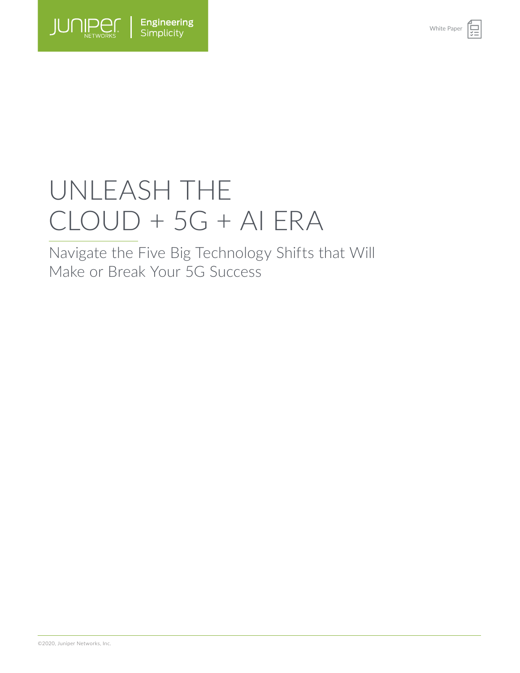

# UNLEASH THE  $CLOUD + 5G + AIERA$

Navigate the Five Big Technology Shifts that Will Make or Break Your 5G Success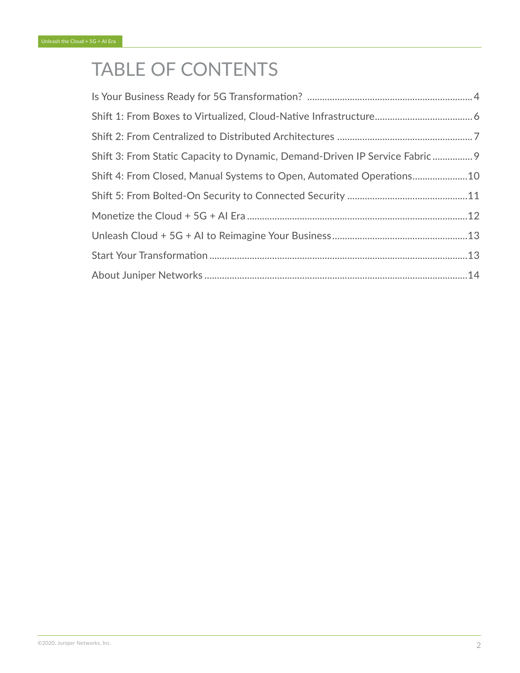# TABLE OF CONTENTS

| Shift 3: From Static Capacity to Dynamic, Demand-Driven IP Service Fabric 9 |  |
|-----------------------------------------------------------------------------|--|
| Shift 4: From Closed, Manual Systems to Open, Automated Operations10        |  |
|                                                                             |  |
|                                                                             |  |
|                                                                             |  |
|                                                                             |  |
|                                                                             |  |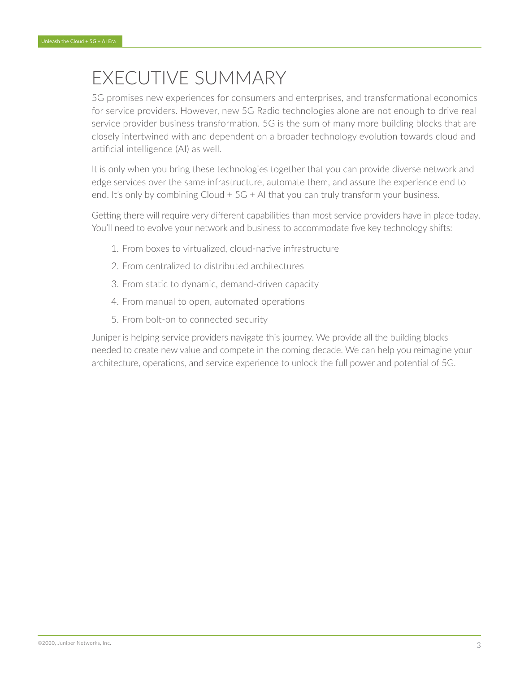# EXECUTIVE SUMMARY

5G promises new experiences for consumers and enterprises, and transformational economics for service providers. However, new 5G Radio technologies alone are not enough to drive real service provider business transformation. 5G is the sum of many more building blocks that are closely intertwined with and dependent on a broader technology evolution towards cloud and artificial intelligence (AI) as well.

It is only when you bring these technologies together that you can provide diverse network and edge services over the same infrastructure, automate them, and assure the experience end to end. It's only by combining Cloud + 5G + AI that you can truly transform your business.

Getting there will require very different capabilities than most service providers have in place today. You'll need to evolve your network and business to accommodate five key technology shifts:

- 1. From boxes to virtualized, cloud-native infrastructure
- 2. From centralized to distributed architectures
- 3. From static to dynamic, demand-driven capacity
- 4. From manual to open, automated operations
- 5. From bolt-on to connected security

Juniper is helping service providers navigate this journey. We provide all the building blocks needed to create new value and compete in the coming decade. We can help you reimagine your architecture, operations, and service experience to unlock the full power and potential of 5G.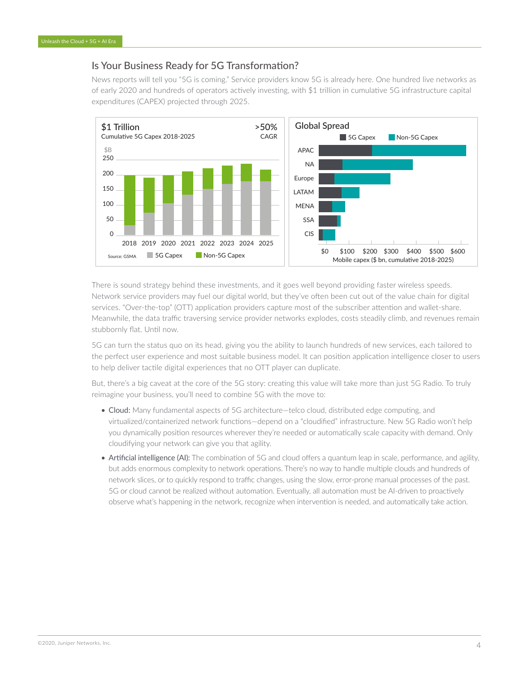#### <span id="page-3-0"></span>Is Your Business Ready for 5G Transformation?

News reports will tell you "5G is coming." Service providers know 5G is already here. One hundred live networks as of early 2020 and hundreds of operators actively investing, with \$1 trillion in cumulative 5G infrastructure capital expenditures (CAPEX) projected through 2025.



There is sound strategy behind these investments, and it goes well beyond providing faster wireless speeds. Network service providers may fuel our digital world, but they've often been cut out of the value chain for digital services. "Over-the-top" (OTT) application providers capture most of the subscriber attention and wallet-share. Meanwhile, the data traffic traversing service provider networks explodes, costs steadily climb, and revenues remain stubbornly flat. Until now.

5G can turn the status quo on its head, giving you the ability to launch hundreds of new services, each tailored to the perfect user experience and most suitable business model. It can position application intelligence closer to users to help deliver tactile digital experiences that no OTT player can duplicate.

But, there's a big caveat at the core of the 5G story: creating this value will take more than just 5G Radio. To truly reimagine your business, you'll need to combine 5G with the move to:

- Cloud: Many fundamental aspects of 5G architecture—telco cloud, distributed edge computing, and virtualized/containerized network functions—depend on a "cloudified" infrastructure. New 5G Radio won't help you dynamically position resources wherever they're needed or automatically scale capacity with demand. Only cloudifying your network can give you that agility.
- Artificial intelligence (AI): The combination of 5G and cloud offers a quantum leap in scale, performance, and agility, but adds enormous complexity to network operations. There's no way to handle multiple clouds and hundreds of network slices, or to quickly respond to traffic changes, using the slow, error-prone manual processes of the past. 5G or cloud cannot be realized without automation. Eventually, all automation must be AI-driven to proactively observe what's happening in the network, recognize when intervention is needed, and automatically take action.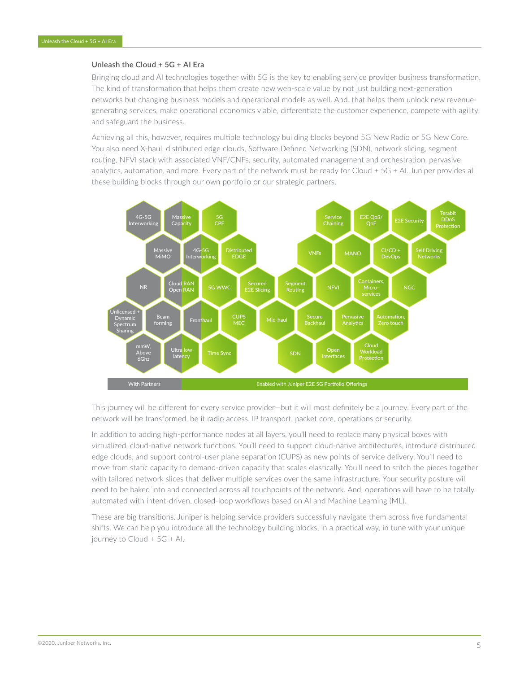#### **Unleash the Cloud + 5G + AI Era**

Bringing cloud and AI technologies together with 5G is the key to enabling service provider business transformation. The kind of transformation that helps them create new web-scale value by not just building next-generation networks but changing business models and operational models as well. And, that helps them unlock new revenuegenerating services, make operational economics viable, differentiate the customer experience, compete with agility, and safeguard the business.

Achieving all this, however, requires multiple technology building blocks beyond 5G New Radio or 5G New Core. You also need X-haul, distributed edge clouds, Software Defined Networking (SDN), network slicing, segment routing, NFVI stack with associated VNF/CNFs, security, automated management and orchestration, pervasive analytics, automation, and more. Every part of the network must be ready for Cloud + 5G + AI. Juniper provides all these building blocks through our own portfolio or our strategic partners.



This journey will be different for every service provider—but it will most definitely be a journey. Every part of the network will be transformed, be it radio access, IP transport, packet core, operations or security.

In addition to adding high-performance nodes at all layers, you'll need to replace many physical boxes with virtualized, cloud-native network functions. You'll need to support cloud-native architectures, introduce distributed edge clouds, and support control-user plane separation (CUPS) as new points of service delivery. You'll need to move from static capacity to demand-driven capacity that scales elastically. You'll need to stitch the pieces together with tailored network slices that deliver multiple services over the same infrastructure. Your security posture will need to be baked into and connected across all touchpoints of the network. And, operations will have to be totally automated with intent-driven, closed-loop workflows based on AI and Machine Learning (ML).

These are big transitions. Juniper is helping service providers successfully navigate them across five fundamental shifts. We can help you introduce all the technology building blocks, in a practical way, in tune with your unique journey to Cloud + 5G + AI.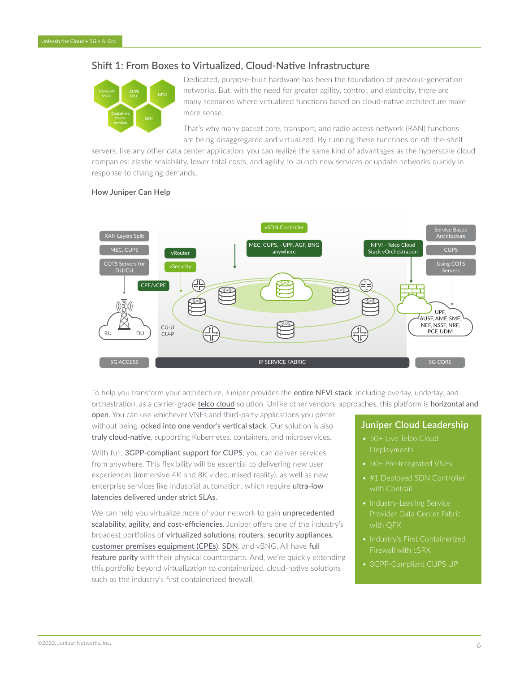# <span id="page-5-0"></span>Shift 1: From Boxes to Virtualized, Cloud-Native Infrastructure



Dedicated, purpose-built hardware has been the foundation of previous-generation networks. But, with the need for greater agility, control, and elasticity, there are many scenarios where virtualized functions based on cloud-native architecture make more sense.

That's why many packet core, transport, and radio access network (RAN) functions are being disaggregated and virtualized. By running these functions on off-the-shelf

servers, like any other data center application, you can realize the same kind of advantages as the hyperscale cloud companies: elastic scalability, lower total costs, and agility to launch new services or update networks quickly in response to changing demands.

#### **How Juniper Can Help**



To help you transform your architecture, Juniper provides the entire NFVI stack, including overlay, underlay, and orchestration, as a carrier-grade t[elco cloud](https://www.juniper.net/us/en/solutions/nfv/telco-cloud/) solution. Unlike other vendors' approaches, this platform is horizontal and

open. You can use whichever VNFs and third-party applications you prefer without being locked into one vendor's vertical stack. Our solution is also truly cloud-native, supporting Kubernetes, containers, and microservices.

With full, 3GPP-compliant support for CUPS, you can deliver services from anywhere. This flexibility will be essential to delivering new user experiences (immersive 4K and 8K video, mixed reality), as well as new enterprise services like industrial automation, which require ultra-low latencies delivered under strict SLAs.

We can help you virtualize more of your network to gain unprecedented scalability, agility, and cost-efficiencies. Juniper offers one of the industry's broadest portfolios of [virtualized solutions](https://www.juniper.net/us/en/solutions/nfv/telco-cloud/): [routers](https://www.juniper.net/us/en/products-services/routing/mx-series/vmx/), [security appliances](https://www.juniper.net/us/en/products-services/security/srx-series/vsrx/), [customer premises equipment \(CPEs\)](https://www.juniper.net/us/en/solutions/nfv/cloudcpe/), [SDN](https://www.juniper.net/us/en/products-services/sdn/contrail/), and vBNG. All have full feature parity with their physical counterparts. And, we're quickly extending this portfolio beyond virtualization to containerized, cloud-native solutions such as the industry's first containerized firewall.

#### **Juniper Cloud Leadership**

- 50+ Live Telco Cloud **Deployments**
- 50+ Pre-Integrated VNFs
- #1 Deployed SDN Controller
- Industry-Leading Service with QFX
- Industry's First Containerized
- 3GPP-Compliant CUPS UP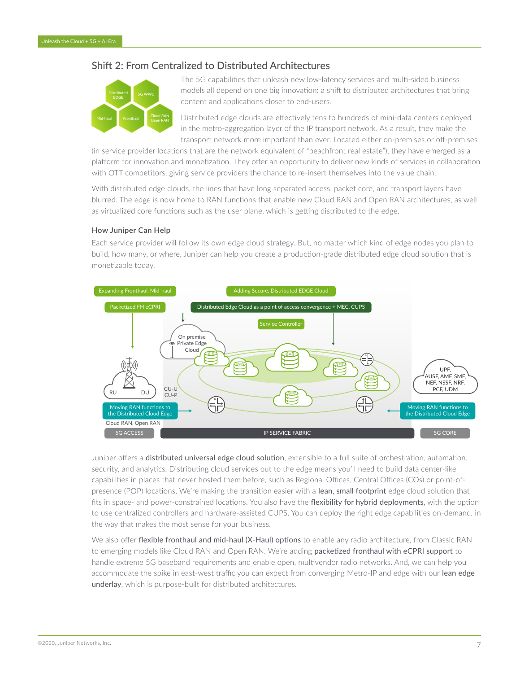#### <span id="page-6-0"></span>Shift 2: From Centralized to Distributed Architectures



The 5G capabilities that unleash new low-latency services and multi-sided business models all depend on one big innovation: a shift to distributed architectures that bring content and applications closer to end-users.

Distributed edge clouds are effectively tens to hundreds of mini-data centers deployed in the metro-aggregation layer of the IP transport network. As a result, they make the transport network more important than ever. Located either on-premises or off-premises

(in service provider locations that are the network equivalent of "beachfront real estate"), they have emerged as a platform for innovation and monetization. They offer an opportunity to deliver new kinds of services in collaboration with OTT competitors, giving service providers the chance to re-insert themselves into the value chain.

With distributed edge clouds, the lines that have long separated access, packet core, and transport layers have blurred. The edge is now home to RAN functions that enable new Cloud RAN and Open RAN architectures, as well as virtualized core functions such as the user plane, which is getting distributed to the edge.

#### **How Juniper Can Help**

Each service provider will follow its own edge cloud strategy. But, no matter which kind of edge nodes you plan to build, how many, or where, Juniper can help you create a production-grade distributed edge cloud solution that is monetizable today.



Juniper offers a distributed universal edge cloud solution, extensible to a full suite of orchestration, automation, security, and analytics. Distributing cloud services out to the edge means you'll need to build data center-like capabilities in places that never hosted them before, such as Regional Offices, Central Offices (COs) or point-ofpresence (POP) locations. We're making the transition easier with a lean, small footprint edge cloud solution that fits in space- and power-constrained locations. You also have the flexibility for hybrid deployments, with the option to use centralized controllers and hardware-assisted CUPS. You can deploy the right edge capabilities on-demand, in the way that makes the most sense for your business.

We also offer flexible fronthaul and mid-haul (X-Haul) options to enable any radio architecture, from Classic RAN to emerging models like Cloud RAN and Open RAN. We're adding packetized fronthaul with eCPRI support to handle extreme 5G baseband requirements and enable open, multivendor radio networks. And, we can help you accommodate the spike in east-west traffic you can expect from converging Metro-IP and edge with our lean edge underlay, which is purpose-built for distributed architectures.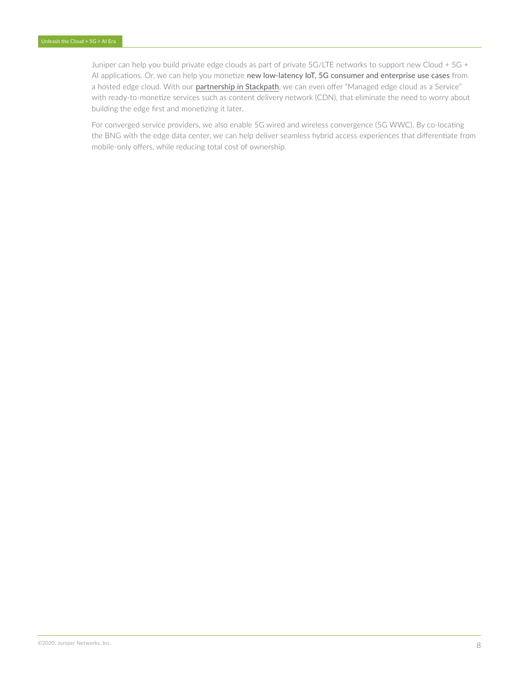Juniper can help you build private edge clouds as part of private 5G/LTE networks to support new Cloud + 5G + AI applications. Or, we can help you monetize new low-latency IoT, 5G consumer and enterprise use cases from a hosted edge cloud. With our partnership [in Stackpath](https://blogs.juniper.net/en-us/engineering-simplicity/delivering-a-future-distributed-edge-cloud-today), we can even offer "Managed edge cloud as a Service" with ready-to-monetize services such as content delivery network (CDN), that eliminate the need to worry about building the edge first and monetizing it later.

For converged service providers, we also enable 5G wired and wireless convergence (5G WWC). By co-locating the BNG with the edge data center, we can help deliver seamless hybrid access experiences that differentiate from mobile-only offers, while reducing total cost of ownership.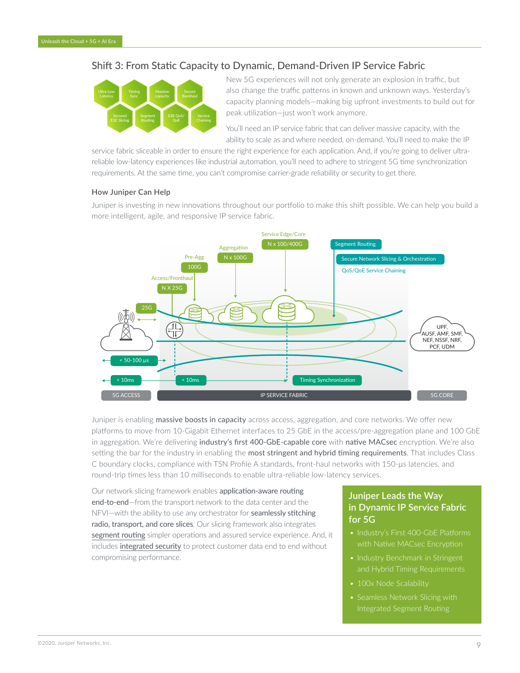# <span id="page-8-0"></span>Shift 3: From Static Capacity to Dynamic, Demand-Driven IP Service Fabric



New 5G experiences will not only generate an explosion in traffic, but also change the traffic patterns in known and unknown ways. Yesterday's capacity planning models—making big upfront investments to build out for peak utilization—just won't work anymore.

You'll need an IP service fabric that can deliver massive capacity, with the ability to scale as and where needed, on-demand. You'll need to make the IP

service fabric sliceable in order to ensure the right experience for each application. And, if you're going to deliver ultrareliable low-latency experiences like industrial automation, you'll need to adhere to stringent 5G time synchronization requirements. At the same time, you can't compromise carrier-grade reliability or security to get there.

#### **How Juniper Can Help**

Juniper is investing in new innovations throughout our portfolio to make this shift possible. We can help you build a more intelligent, agile, and responsive IP service fabric.



Juniper is enabling massive boosts in capacity across access, aggregation, and core networks. We offer new platforms to move from 10-Gigabit Ethernet interfaces to 25 GbE in the access/pre-aggregation plane and 100 GbE in aggregation. We're delivering industry's first 400-GbE-capable core with native MACsec encryption. We're also setting the bar for the industry in enabling the most stringent and hybrid timing requirements. That includes Class C boundary clocks, compliance with TSN Profile A standards, front-haul networks with 150-μs latencies, and round-trip times less than 10 milliseconds to enable ultra-reliable low-latency services.

Our network slicing framework enables application-aware routing end-to-end—from the transport network to the data center and the NFVI-with the ability to use any orchestrator for **seamlessly stitching** radio, transport, and core slices. Our slicing framework also integrates [segment routing](https://www.juniper.net/us/en/solutions/segment-routing/) simpler operations and assured service experience. And, it includes [integrated security](https://www.juniper.net/us/en/solutions/security/) to protect customer data end to end without compromising performance.

## **Juniper Leads the Way in Dynamic IP Service Fabric for 5G**

- with Native MACsec Encryption
- Industry Benchmark in Stringent
- 100x Node Scalability
- Seamless Network Slicing with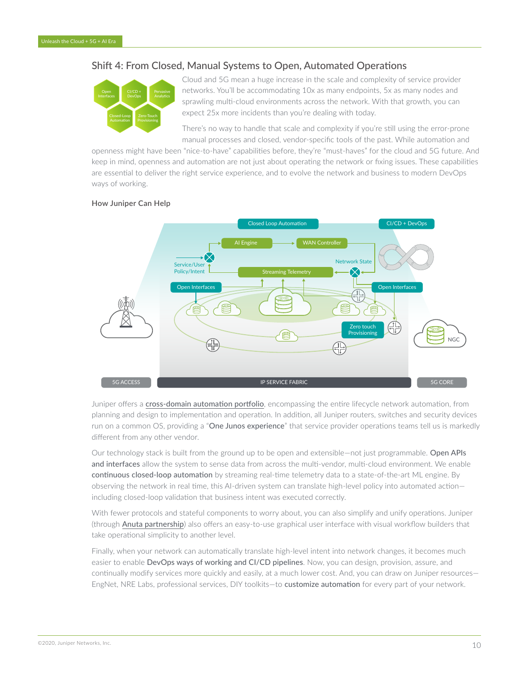## <span id="page-9-0"></span>Shift 4: From Closed, Manual Systems to Open, Automated Operations



Cloud and 5G mean a huge increase in the scale and complexity of service provider networks. You'll be accommodating 10x as many endpoints, 5x as many nodes and sprawling multi-cloud environments across the network. With that growth, you can expect 25x more incidents than you're dealing with today.

There's no way to handle that scale and complexity if you're still using the error-prone manual processes and closed, vendor-specific tools of the past. While automation and

openness might have been "nice-to-have" capabilities before, they're "must-haves" for the cloud and 5G future. And keep in mind, openness and automation are not just about operating the network or fixing issues. These capabilities are essential to deliver the right service experience, and to evolve the network and business to modern DevOps ways of working.

#### **How Juniper Can Help**



Juniper offers a [cross-domain automation portfolio](https://www.juniper.net/us/en/solutions/automation/), encompassing the entire lifecycle network automation, from planning and design to implementation and operation. In addition, all Juniper routers, switches and security devices run on a common OS, providing a "One Junos experience" that service provider operations teams tell us is markedly different from any other vendor.

Our technology stack is built from the ground up to be open and extensible—not just programmable. Open APIs and interfaces allow the system to sense data from across the multi-vendor, multi-cloud environment. We enable continuous closed-loop automation by streaming real-time telemetry data to a state-of-the-art ML engine. By observing the network in real time, this AI-driven system can translate high-level policy into automated action including closed-loop validation that business intent was executed correctly.

With fewer protocols and stateful components to worry about, you can also simplify and unify operations. Juniper (through [Anuta partnership](https://www.juniper.net/us/en/dm/anuta-networks-partnership/)) also offers an easy-to-use graphical user interface with visual workflow builders that take operational simplicity to another level.

Finally, when your network can automatically translate high-level intent into network changes, it becomes much easier to enable DevOps ways of working and CI/CD pipelines. Now, you can design, provision, assure, and continually modify services more quickly and easily, at a much lower cost. And, you can draw on Juniper resources— EngNet, NRE Labs, professional services, DIY toolkits-to customize automation for every part of your network.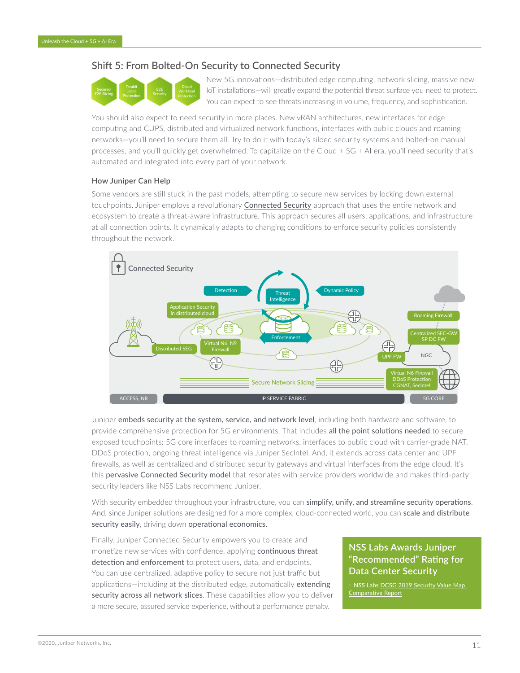## <span id="page-10-0"></span>Shift 5: From Bolted-On Security to Connected Security



New 5G innovations—distributed edge computing, network slicing, massive new IoT installations—will greatly expand the potential threat surface you need to protect. You can expect to see threats increasing in volume, frequency, and sophistication.

You should also expect to need security in more places. New vRAN architectures, new interfaces for edge computing and CUPS, distributed and virtualized network functions, interfaces with public clouds and roaming networks—you'll need to secure them all. Try to do it with today's siloed security systems and bolted-on manual processes, and you'll quickly get overwhelmed. To capitalize on the Cloud + 5G + AI era, you'll need security that's automated and integrated into every part of your network.

#### **How Juniper Can Help**

Some vendors are still stuck in the past models, attempting to secure new services by locking down external touchpoints. Juniper employs a revolutionary [Connected Security](https://www.juniper.net/us/en/solutions/security/) approach that uses the entire network and ecosystem to create a threat-aware infrastructure. This approach secures all users, applications, and infrastructure at all connection points. It dynamically adapts to changing conditions to enforce security policies consistently throughout the network.



Juniper embeds security at the system, service, and network level, including both hardware and software, to provide comprehensive protection for 5G environments. That includes all the point solutions needed to secure exposed touchpoints: 5G core interfaces to roaming networks, interfaces to public cloud with carrier-grade NAT, DDoS protection, ongoing threat intelligence via Juniper SecIntel. And, it extends across data center and UPF firewalls, as well as centralized and distributed security gateways and virtual interfaces from the edge cloud. It's this pervasive Connected Security model that resonates with service providers worldwide and makes third-party security leaders like NSS Labs recommend Juniper.

With security embedded throughout your infrastructure, you can simplify, unify, and streamline security operations. And, since Juniper solutions are designed for a more complex, cloud-connected world, you can scale and distribute security easily, driving down operational economics.

Finally, Juniper Connected Security empowers you to create and monetize new services with confidence, applying continuous threat detection and enforcement to protect users, data, and endpoints. You can use centralized, adaptive policy to secure not just traffic but applications-including at the distributed edge, automatically extending security across all network slices. These capabilities allow you to deliver a more secure, assured service experience, without a performance penalty.

# **NSS Labs Awards Juniper "Recommended" Rating for Data Center Security**

NSS Labs DCSG 2019 Security Value Map [Comparative Report](https://www.juniper.net/us/en/forms/secure-dc/)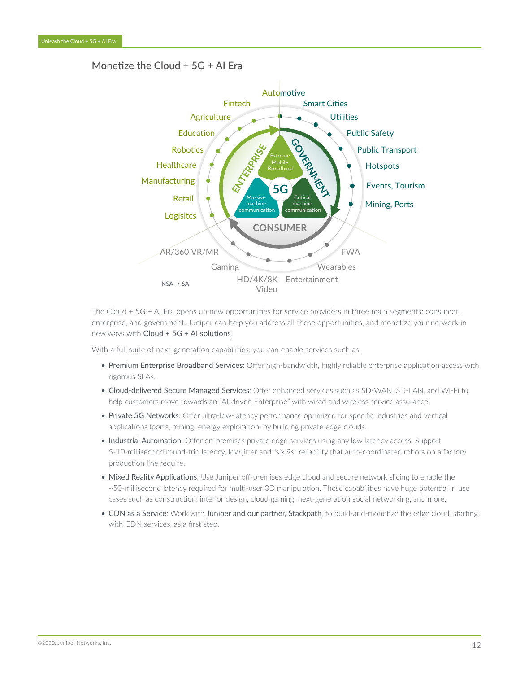# <span id="page-11-0"></span>Monetize the Cloud + 5G + AI Era



The Cloud + 5G + AI Era opens up new opportunities for service providers in three main segments: consumer, enterprise, and government. Juniper can help you address all these opportunities, and monetize your network in new ways with [Cloud + 5G + AI solutions](https://www.juniper.net/us/en/dm/5g/).

With a full suite of next-generation capabilities, you can enable services such as:

- Premium Enterprise Broadband Services: Offer high-bandwidth, highly reliable enterprise application access with rigorous SLAs.
- Cloud-delivered Secure Managed Services: Offer enhanced services such as SD-WAN, SD-LAN, and Wi-Fi to help customers move towards an "AI-driven Enterprise" with wired and wireless service assurance.
- Private 5G Networks: Offer ultra-low-latency performance optimized for specific industries and vertical applications (ports, mining, energy exploration) by building private edge clouds.
- Industrial Automation: Offer on-premises private edge services using any low latency access. Support 5-10-millisecond round-trip latency, low jitter and "six 9s" reliability that auto-coordinated robots on a factory production line require.
- Mixed Reality Applications: Use Juniper off-premises edge cloud and secure network slicing to enable the ~50-millisecond latency required for multi-user 3D manipulation. These capabilities have huge potential in use cases such as construction, interior design, cloud gaming, next-generation social networking, and more.
- CDN as a Service: Work with [Juniper and our partner, Stackpath](https://blogs.juniper.net/en-us/engineering-simplicity/delivering-a-future-distributed-edge-cloud-today), to build-and-monetize the edge cloud, starting with CDN services, as a first step.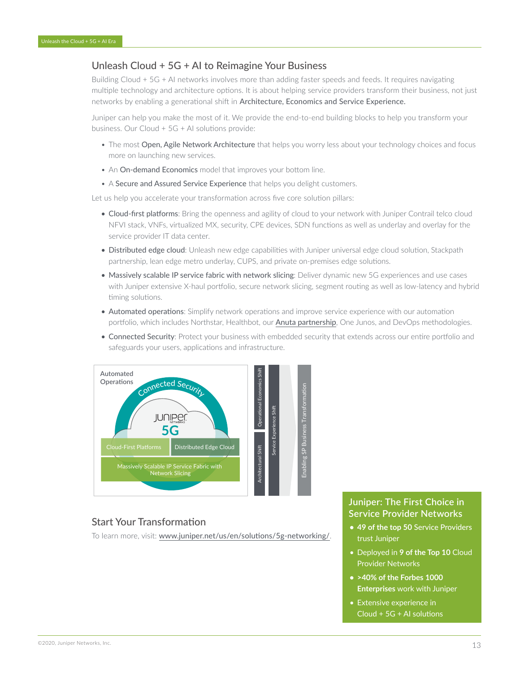# <span id="page-12-0"></span>Unleash Cloud + 5G + AI to Reimagine Your Business

Building Cloud + 5G + AI networks involves more than adding faster speeds and feeds. It requires navigating multiple technology and architecture options. It is about helping service providers transform their business, not just networks by enabling a generational shift in Architecture, Economics and Service Experience.

Juniper can help you make the most of it. We provide the end-to-end building blocks to help you transform your business. Our Cloud + 5G + AI solutions provide:

- The most Open, Agile Network Architecture that helps you worry less about your technology choices and focus more on launching new services.
- An On-demand Economics model that improves your bottom line.
- A Secure and Assured Service Experience that helps you delight customers.

Let us help you accelerate your transformation across five core solution pillars:

- Cloud-first platforms: Bring the openness and agility of cloud to your network with Juniper Contrail telco cloud NFVI stack, VNFs, virtualized MX, security, CPE devices, SDN functions as well as underlay and overlay for the service provider IT data center.
- Distributed edge cloud: Unleash new edge capabilities with Juniper universal edge cloud solution, Stackpath partnership, lean edge metro underlay, CUPS, and private on-premises edge solutions.
- Massively scalable IP service fabric with network slicing: Deliver dynamic new 5G experiences and use cases with Juniper extensive X-haul portfolio, secure network slicing, segment routing as well as low-latency and hybrid timing solutions.
- Automated operations: Simplify network operations and improve service experience with our automation portfolio, which includes Northstar, Healthbot, our [Anuta partnership](https://www.juniper.net/us/en/dm/anuta-networks-partnership/), One Junos, and DevOps methodologies.
- Connected Security: Protect your business with embedded security that extends across our entire portfolio and safeguards your users, applications and infrastructure.



#### Start Your Transformation

To learn more, visit: [www.juniper.net/us/en/solutions/5g-networking/](https://www.juniper.net/us/en/solutions/5g-networking/).

#### **Juniper: The First Choice in Service Provider Networks**

- **• 49 of the top 50** Service Providers trust Juniper
- Deployed in **9 of the Top 10** Cloud Provider Networks
- **• >40% of the Forbes 1000 Enterprises** work with Juniper
- Extensive experience in Cloud + 5G + AI solutions